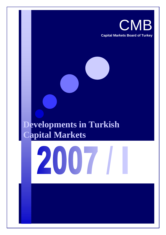

# **Developments in Turkish Capital Markets**

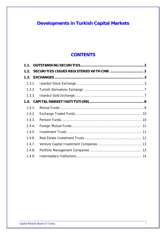# **Developments in Turkish Capital Markets**

# **CONTENTS**

| 1.3.1. |  |
|--------|--|
|        |  |
|        |  |
|        |  |
| 1.4.1. |  |
| 1.4.2. |  |
| 1.4.3. |  |
| 1.4.4. |  |
| 1.4.5. |  |
| 1.4.6. |  |
| 1.4.7. |  |
| 1.4.8. |  |
| 1.4.9. |  |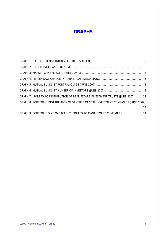# **GRAPHS**

| GRAPH 7: PORTFOLIO DISTRIBUTION OF REAL ESTATE INVESTMENT TRUSTS (JUNE 2007) 12     |
|-------------------------------------------------------------------------------------|
| GRAPH 8: PORTFOLIO DISTRIBUTION OF VENTURE CAPITAL INVESTMENT COMPANIES (JUNE 2007) |
|                                                                                     |
| GRAPH 9: PORTFOLIO SIZE MANAGED BY PORTFOLIO MANAGEMENT COMPANIES 14                |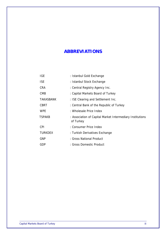# **ABBREVIATIONS**

| <b>IGE</b>     | : Istanbul Gold Exchange                                               |
|----------------|------------------------------------------------------------------------|
| <b>ISE</b>     | : Istanbul Stock Exchange                                              |
| <b>CRA</b>     | : Central Registry Agency Inc.                                         |
| <b>CMB</b>     | : Capital Markets Board of Turkey                                      |
| TAKASBANK      | : ISE Clearing and Settlement Inc.                                     |
| CBRT           | : Central Bank of the Republic of Turkey                               |
| <b>WPE</b>     | : Wholesale Price Index                                                |
| <b>TSPAKB</b>  | : Association of Capital Market Intermediary Institutions<br>of Turkey |
| <b>CPI</b>     | : Consumer Price Index                                                 |
| <b>TURKDEX</b> | : Turkish Derivatives Exchange                                         |
| <b>GNP</b>     | : Gross National Product                                               |
| GDP            | : Gross Domestic Product                                               |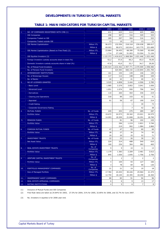#### **DEVELOPMENTS IN TURKISH CAPITAL MARKETS**

|     |                                                        |                      | 2003           | 2004      | 2005           | 2006           | 2007/06        |
|-----|--------------------------------------------------------|----------------------|----------------|-----------|----------------|----------------|----------------|
| 1.  | NO. OF COMPANIES REGISTERED WITH CMB (1)               |                      | 631            | 625       | 614            | 605            | 608            |
|     | <b>ISE Companies</b>                                   |                      | 298            | 307       | 316            | 329            | 333            |
|     | Companies Traded on ISE                                |                      | 285            | 297       | 304            | 316            | 322            |
|     | Companies Traded outside ISE                           |                      | 13             | 10        | 12             | 13             | 11             |
|     | <b>ISE Market Capitalization</b>                       | <b>Million YTL</b>   | 96.073         | 132.556   | 218.318        | 230.038        | 289.017        |
|     |                                                        | Million \$           | 69.003         | 98.073    | 162.814        | 163.775        | 221.689        |
|     | ISE Market Capitalization (Based on Free Float) (2)    | <b>Million YTL</b>   | 23.864         | 36.453    | 68.390         | 75.569         | 92.699         |
|     |                                                        | Million \$           | 1.714          | 27.108    | 51.003         | 53.504         | 71.104         |
|     | ISE Equities Investors (3)                             |                      | 1.122.372      | 1.416.615 | 1.068.584      | 1.021.446      | 1.021.446      |
|     | Foreign Investors custody accounts share in total (%)  |                      | 52,2           | 57,0      | 66,3           | 65,3           | 70,50          |
|     | Domestic Investors custody accounts share in total (%) |                      | 47,8           | 43,0      | 33,7           | 34,7           | 29,50          |
|     | No. of Mutual Fund Investors                           |                      | 2.204.924      | 2.632.462 | 2.997.771      | 2.470.909      | 2.996.980      |
|     | No. of Pension Fund Investors                          |                      | $\sim$         | 324.583   | 666.142        | 1.133.844      | 1.351.765      |
| 2.  | <b>INTERNEDIARY INSTITUTIONS</b>                       |                      | 161            | 154       | 149            | 146            | 145            |
|     | No. of Brokerage Houses                                |                      | 117            | 112       | 108            | 106            | 104            |
|     | No. of Banks                                           |                      | 44             | 42        | 41             | 40             | 41             |
| 3.  | NO OF LICENSES GRANTED                                 |                      | 3.525          | 4.858     | 5.444          | 4.506          | 2.785          |
|     | <b>Basic Level</b>                                     |                      | 1.985          | 3.379     | 3.852          | 3.041          | 1.656          |
|     | - Advanced Level                                       |                      | 1.051          | 1.074     | 950            | 796            | 544            |
|     | - Derivatives                                          |                      | 110            | 260       | 464            | 336            | 219            |
|     | <b>Clearing and Operations</b>                         |                      | 318            | 89        | 103            | 62             | 41             |
|     | Appraisal                                              |                      | 61             | 56        | 67             | 190            | 214            |
|     | - Credit Rating                                        |                      |                |           | $\mathbf{1}$   | 39             | 73             |
|     | - Corporate Governance Rating                          |                      |                |           | $\overline{7}$ | 42             | 38             |
| 4.  | <b>MUTUAL FUNDS</b>                                    | No. of Funds         | 245            | 253       | 275            | 289            | 287            |
|     | Portfolio Value                                        | <b>Million YTL</b>   | 19.672         | 24.573    | 29.342         | 23.021         | 24.575         |
|     |                                                        | Million \$           | 14.093         | 18.309    | 21.848         | 16.291         | 18.760         |
| 5.  | <b>PENSION FUNDS</b>                                   | No. of Funds         | $\overline{a}$ | 81        | 96             | 102            | 103            |
|     | Portfolio Value                                        | <b>Million YTL</b>   |                | 296       | 1.219          | 2.821          | 3.746          |
|     |                                                        | Million \$           |                | 219       | 902            | 1.984          | 2.860          |
| 6.  | <b>FOREIGN MUTUAL FUNDS</b>                            | No. of Funds         | 47             | 47        | 53             | 60             | 60             |
|     | Portfolio Value                                        | <b>Million YTL</b>   | 28             | 27        | 34             | 74             | 93             |
|     |                                                        | Million \$           | 20             | 20        | 25             | 52             | 71             |
| 7.  | <b>INVESTMENT TRUSTS</b>                               | No. of Funds         | 22             | 23        | 26             | 30             | 33             |
|     | <b>Net Asset Value</b>                                 | Million YTL          | 224            | 314       | 488            | 540            | 610            |
|     |                                                        | Million \$<br>No. of | 160            | 234       | 364            | 382            | 465            |
| 8.  | <b>REAL ESTATE INVESTMENT TRUSTS</b>                   | Companies            | 9              | 9         | 10             | 11             | 13             |
|     | Portfolio Value                                        | <b>Million YTL</b>   | 1.179          | 1.383     | 2.209          | 2.481          | 3.612          |
|     |                                                        | Million \$           | 845            | 1.030     | 1.645          | 1.756          | 2.756          |
| 9.  | <b>VENTURE CAPITAL INVESTMENT TRUSTS</b>               | No. of<br>Companies  | $1\,$          | 2         | $\overline{2}$ | 2              | $\overline{2}$ |
|     | Portfolio Value                                        | Million YTL          | $\overline{4}$ | 104       | 93             | 127            | 166            |
|     |                                                        | Million \$           | 3              | 78        | 69             | 90             | 126            |
| 10. | PORTFOLIO MANAGEMENT COMPANIES                         | No. of<br>Companies  | 21             | 21        | 19             | 19             | 18             |
|     | Size of Managed Portfolio                              | <b>Million YTL</b>   | 17.784         | 24.453    | 30.226         | 25.964         | 21.373         |
|     |                                                        | Million \$           | 12.759         | 18.105    | 22.395         | 18.259         | 16.304         |
| 11. | INDEPENDENT AUDIT COMPANIES                            |                      | 80             | 83        | 91             | 94             | 96             |
| 12. | REAL ESTATE APPRAISAL COMPANIES                        |                      | 6              | 6         | 9              | 13             | 17             |
| 13. | RATING INSTITUTIONS                                    |                      | $\overline{4}$ | 5         | 6              | $\overline{7}$ | 8              |

#### **TABLE 1: MAIN INDICATORS FOR TURKISH CAPITAL MARKETS**

(1) Inclusive of Mutual Funds and ISE Companies

(2) Free float ratios are taken as 24.84% for 2003, 27.5% for 2004, 31% for 2005, 32.85% for 2006, and 32.7% for June 2007.

(3) No. Investors in equities is for 2006 year end.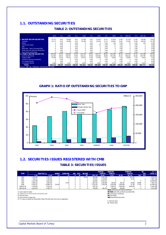## **1.1. OUTSTANDING SECURITIES**

#### **TABLE 2: OUTSTANDING SECURITIES**

|                                                | 2002    | (% )   | 2003     | (%)    | 2004     | (%)    | 2005     | (%)    | 2006    | (%)    | 2006-06  | (% )   | 2007-06  | (%)    |
|------------------------------------------------|---------|--------|----------|--------|----------|--------|----------|--------|---------|--------|----------|--------|----------|--------|
|                                                |         |        |          |        |          |        |          |        |         |        |          |        |          |        |
| <b>I. PRIVATE SECTOR SECURITIES</b>            | 13.177  | 8.03   | 18,008   | 8.41   | 25.186   | 9.97   | 31.916   | 11.37  | 41.059  | 13.86  | 37.378   | 12.90  | 48.383   | 15.82  |
| <b>Equities</b>                                | 13.177  | 8.03   | 18,008   | 8.41   | 25.186   | 9.97   | 31.916   | 11.37  | 40.926  | 13.81  | 37.365   | 12.90  | 48.263   | 15.78  |
| <b>Bonds</b>                                   |         | 0.00   | $\Omega$ | 0.00   | 0        | 0.00   | $\Omega$ | 0.00   | 120     | 0.04   | 13       | 0.00   | 120      | 0.04   |
| <b>Commercial Paper</b>                        |         | 0.00   | $\Omega$ | 0.00   | 0        | 0.00   | 13       | 0.00   | 13      | 0.00   | $\Omega$ | 0.00   | $\Omega$ | 0.00   |
| <b>ABS</b>                                     |         | 0.00   | $\Omega$ | 0.00   | 0        | 0.00   | $\Omega$ | 0.00   | 0       | 0.00   | $\Omega$ | 0.00   | 0        | 0.00   |
| Bank Bills - Bank Guranteed Bills              |         | 0.00   | $\Omega$ | 0.00   | $\Omega$ | 0.00   | $\Omega$ | 0.00   | 0       | 0.00   |          | 0.00   | 0        | 0.00   |
| Profit and Loss Sharing Certificates           |         | 0.00   | $\Omega$ | 0.00   | 0        | 0.00   | $\Omega$ | 0.00   | 0       | 0.00   |          | 0.00   | $\Omega$ | 0.00   |
| <b>Real Estate Certificatesi</b>               |         | 0.00   | $\Omega$ | 0.00   | 0        | 0.00   | $\Omega$ | 0.00   | 0       | 0.00   |          | 0.00   |          | 0.00   |
| <b>II. PUBLIC SECTOR SECURITIES</b>            | 150.939 | 91.97  | 196.004  | 91.59  | 227.415  | 90.03  | 248.773  | 88.63  | 255.240 | 86.14  | 253.076  | 87.10  | 257.388  | 84.18  |
| <b>Governmnet Bonds</b>                        | 112.850 | 68.76  | 168.974  | 78.96  | 194.211  | 76.88  | 226.964  | 80.86  | 241.876 | 81.63  | 238.226  | 82.00  | 244.795  | 80.06  |
| <b>Treasury Bills</b>                          | 37.020  | 22.56  | 25.413   | 11.87  | 30.272   | 11.98  | 17,818   | 6.35   | 9.594   | 3.24   | 10.859   | 3.70   | 8.924    | 2.92   |
| <b>Revenue Sharing Certificates</b>            |         | 0.00   | $\Omega$ | 0.00   | $\Omega$ | 0.00   | $\Omega$ | 0.00   | 0       | 0.00   | $\Omega$ | 0.00   | $\Omega$ | 0.00   |
| <b>FX Indexed Bonds</b>                        |         | 0.00   | $\Omega$ | 0.00   | $\Omega$ | 0.00   | $\Omega$ | 0.00   | 0       | 0.00   |          | 0.00   | $\Omega$ | 0.00   |
| <b>Privatization Bonds</b>                     | .069    | 0.65   | 1.617    | 0.76   | 2.932    | 1.16   | 3.991    | 1.42   | 3.770   | 1.27   | 3,991    | 1.40   | 3,670    | 1.20   |
| <b>TOTAL</b>                                   | 164.115 | 100.00 | 214,012  | 100.00 | 252.601  | 100.00 | 280,689  | 100.00 | 296.299 | 100.00 | 290,454  | 100.00 | 305.771  | 100.00 |
| Source: CMB. ISE. TREASURY. PRIVATIZATION ADM. |         |        |          |        |          |        |          |        |         |        |          |        |          |        |

#### **GRAPH 1: RATIO OF OUTSTANDING SECURITIES TO GNP**



# **1.2. SECURITIES ISSUES REGISTERED WITH CMB TABLE 3: SECURITIES ISSUES**

|             |                                             |                     |              |                 |            |             |            |           | <b>MUTUAL</b>  | <b>PENSION</b> |           | <b>FOREIGN</b> |             | <b>RE</b>  | 000 YTI    |
|-------------|---------------------------------------------|---------------------|--------------|-----------------|------------|-------------|------------|-----------|----------------|----------------|-----------|----------------|-------------|------------|------------|
| <b>YEAR</b> |                                             | <b>EQUITIES (1)</b> | <b>BONDS</b> | <b>COMM PAP</b> | <b>ABS</b> | <b>PLSC</b> | BB/BGB     |           | <b>FUND PC</b> | <b>FUND PC</b> |           | <b>FUND PC</b> |             | <b>CER</b> | TOTAL (2)  |
|             | (3)                                         | II(4)               | ш            | IV              |            | VI          | <b>VII</b> | VIII(3)   | IX(4)          | X(3)           | XI(4)     | XII(5)         | <b>XIII</b> | XIV        |            |
| 2002        | .428.309                                    | 1.597.317           |              |                 |            |             | 83.614     | 491.049   | 2,405,346      |                |           | 107.041        |             |            | 4,193,317  |
| 2003        | 932,212                                     | 1,749,597           |              |                 |            |             |            | 477.874   | 6,118,693      |                |           | 13.437         |             | $\Omega$   | 7,881,726  |
| 2004        | 2.229.398                                   | 3.826.540           | 0            |                 |            |             |            | 826.981   | 6.870.351      |                |           |                |             | 0          | 10,696,891 |
| 2005        | 2.069.124                                   | 3.991.870           | 0            | 13.000          |            |             |            | .387.220  | 2.390.990      | 900.000        | 929.187   | 59.666         | 59.666      | $\Omega$   | 7,384,712  |
| 2006        | 4.392.357                                   | 10.880.574          | 150.000      |                 |            |             |            | 2.076.220 | 3.356.209      | 5.900.000      | 5.900.000 | 11.293         | 7.329       | $\Omega$   | 20,298,076 |
| 2006/01-06  | .476.656                                    | 2.916.412           |              |                 |            |             |            | 665.720   |                | 1.846.073      | 4.900.000 | 4.900.000      |             |            | 9,662,485  |
| 2007/01-06  | 1.931.678                                   | 4.782.777           |              |                 |            |             |            | 235.000   | 281.471        | 450.000        | 450.000   |                |             |            | 5,514,248  |
|             | DI CC: profit and Loca Charina Cortificator |                     |              |                 |            |             |            |           |                |                |           |                |             |            |            |

(3) Nominal Value<br>(4) Issue amount at sales price.<br>(5) YTL value converted by Central Bank official TRL/USD rate at the time of registration.

**PLSC:** profit and Loss Sharing Certificates<br>**BB/BGB:** Bank Bills and Bank Guaranteed Bills<br>**PC:** Participation Certificates (1) Cash capital increases **BB/BGB:** Bank Bills and Bank Guaranteed Bills (2) TOTAL=II+III+IV+V+VI+VII+IX+XI+XIII+XIV **PC:** Participation Certificates

**I :** Nominal Value **II:** Market Value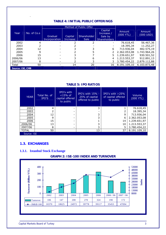|                  | TADLE 4. TNI HAL FUDLIG UFFERINGS |                          |                            |                            |                                                         |                       |                       |  |  |  |  |  |
|------------------|-----------------------------------|--------------------------|----------------------------|----------------------------|---------------------------------------------------------|-----------------------|-----------------------|--|--|--|--|--|
|                  |                                   |                          |                            | Method of Public Offer     |                                                         |                       |                       |  |  |  |  |  |
| Year             | No. of Co.s                       | Gradual<br>Incorporation | Capital<br><b>Increase</b> | Shareholder<br><b>Sale</b> | Capital<br>Increase /<br>Sale by<br><b>Shareholders</b> | Amount<br>$(000$ YTL) | Amount<br>$(000$ USD) |  |  |  |  |  |
| 2002             |                                   |                          |                            |                            | $\overline{\phantom{a}}$                                | 76.618,45             | 56.467,36             |  |  |  |  |  |
| 2003             |                                   |                          |                            |                            |                                                         | 18.395,34             | 11.252,27             |  |  |  |  |  |
| 2004             | 12                                |                          |                            |                            | 6                                                       | 713.936,04            | 482.575,19            |  |  |  |  |  |
| 2005             | q                                 |                          |                            |                            |                                                         | 2.362.053,08          | 1.743.964,26          |  |  |  |  |  |
| 2006             | 15                                |                          |                            |                            |                                                         | 1.239.651,97          | 930.501,52            |  |  |  |  |  |
| 2006/06          | 13                                |                          |                            | 6                          | 4                                                       | 1.213.553,37          | 912.891,13            |  |  |  |  |  |
| 2007/06          | 8                                 |                          |                            |                            |                                                         | 3.780.454,22          | 2.879.112,88          |  |  |  |  |  |
| Total            | 50                                |                          | 14                         | 20                         | 16                                                      | 8.191.109,10          | 6.103.873,48          |  |  |  |  |  |
| Source: ISE, CMB |                                   |                          |                            |                            |                                                         |                       |                       |  |  |  |  |  |

## **TABLE 4: INITIAL PUBLIC OFFERINGS**

#### **TABLE 5: IPO RATIOS**

| <b>YEAR</b>  | Total No. of<br>IPO'S | IPO's with<br>$<$ 15% of<br>capital offered<br>to public | IPO's with $15% -$<br>25% of capital<br>offered to public | IPO's with $>25\%$<br>of capital offered<br>to public | Volume<br>$(000 \text{ YTL})$ |
|--------------|-----------------------|----------------------------------------------------------|-----------------------------------------------------------|-------------------------------------------------------|-------------------------------|
| 2002         | 4                     |                                                          | 3                                                         |                                                       | 76.618,45                     |
| 2003         |                       |                                                          |                                                           |                                                       | 18.395,34                     |
| 2004         | 12                    |                                                          | 3                                                         | 9                                                     | 713.936,04                    |
| 2005         | 9                     |                                                          | 3                                                         | 6                                                     | 2.362.053,08                  |
| 2006         | 15                    |                                                          |                                                           | 14                                                    | 1.239.651,97                  |
| 2006/06      | 13                    |                                                          | 3                                                         | 10                                                    | 1.213.553,37                  |
| 2007/06      | 8                     |                                                          | 3                                                         | 5                                                     | 3.780.454,22                  |
| <b>TOTAL</b> | 50                    |                                                          | 13                                                        | 37                                                    | 8.191.109,10                  |
| Source: ISE  |                       |                                                          |                                                           |                                                       |                               |

#### **1.3. EXCHANGES**

.

#### **1.3.1. Istanbul Stock Exchange**



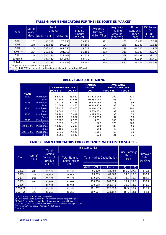# **TABLE 6: MAIN INDICATORS FOR THE ISE EQUITIES MARKET**

| Year      | No. of<br><b>Work</b> | Total<br>Turnover |              | <b>Total</b><br>Trading | Avg Daily<br><b>Turnover</b> | <b>Avg Daily</b><br>Trading | No. of<br>Contracts | <b>ISE Index</b><br>(*) |
|-----------|-----------------------|-------------------|--------------|-------------------------|------------------------------|-----------------------------|---------------------|-------------------------|
|           | days                  | (Million YTL)     | (Million \$) | Amount<br>(000 YTL)     | (Million YTL)                | Amount<br>(000 YTL)         | Traded<br>(000)     | $(1986 -$<br>$01 = 100$ |
| 2002      | 252                   | 106.302           | 70.756       | 33.933                  | 422                          | 135                         | 28.967              | 10.369                  |
| 2003      | 246                   | 146.645           | 100.165      | 59.100                  | 596                          | 240                         | 29.943              | 18.625                  |
| 2004      | 250                   | 208.423           | 147.755      | 69.615                  | 834                          | 278                         | 41.508              | 24.971                  |
| 2005 (**) | 254                   | 269.932           | 201.763      | 81.100                  | 1.063                        | 319                         | 43.939              | 39.777                  |
| 2006      | 248                   | 324.131           | 229.642      | 91.635                  | 1.307                        | 369                         | 45.489              | 39.117                  |
| 2006/06   | 121                   | 190.447           | 137.105      | 52.775                  | 1.574                        | 436                         | 25.204              | 35.453                  |
| 2007/06   | 126                   | 172.363           | 125.957      | 54.440                  | 1.368                        | 432                         | 23.076              | 47.093                  |

\* Composite Index based on closing prices

\*\* as of 14.01.2005 exchange traded funds are included in the National Market Source:ISE

#### **TABLE 7: ODD LOT TRADING**

|             |              | <b>TRADING VOLUME</b> |            | <b>TRADING</b><br><b>AMOUNT</b> |           | <b>AVG DAILY</b><br><b>TRADIG VOLUME</b> |
|-------------|--------------|-----------------------|------------|---------------------------------|-----------|------------------------------------------|
|             |              | (000 YTL)             | $(000$ \$) | (000)                           | (000 YTL) | $(000 \text{ } $)$                       |
| <b>YEAR</b> |              |                       |            |                                 |           |                                          |
| 2002        | Purchases    | 52.734                | 35.020     | 13.472.142                      | 209       | 139                                      |
|             | <b>Sales</b> | 41.603                | 27.628     | 10.252.140                      | 165       | 110                                      |
| 2003        | Purchases    | 33.935                | 22.728     | 9.776.054                       | 138       | 92                                       |
|             | <b>Sales</b> | 21.609                | 14.473     | 6.219.239                       | 88        | 59                                       |
| 2004        | Purchases    | 36.415                | 25.602     | 8.214.158                       | 146       | 102                                      |
|             | <b>Sales</b> | 23.043                | 16.201     | 5.658.522                       | 92        | 65                                       |
| 2005        | Purchases    | 24.991                | 18.639     | 3.395.509                       | 98        | 73                                       |
|             | <b>Sales</b> | 13.223                | 9.862      | 2.165.538                       | 52        | 39                                       |
| 2006        | Purchases    | 17.988                | 12.570     | 3.731                           | 866       | 605                                      |
|             | <b>Sales</b> | 7.830                 | 5.471      | 1.522                           | 376       | 263                                      |
| 2006 / 06   | Purchases    | 10.126                | 7.290      | 1.909                           | 82        | 59                                       |
|             | <b>Sales</b> | 5.183                 | 3.731      | 953                             | 42        | 30                                       |
| 2007 / 06   | Purchases    | 6.735                 | 4.922      | 1.381                           | 53        | 39                                       |
|             | <b>Sales</b> | 2.658                 | 1.942      | 528                             | 21        | 15                                       |

#### **TABLE 8: MAIN INDICATORS FOR COMPANIES WITH LISTED SHARES**

|         |                | Total                                                | <b>ISE Companies</b>                              | Price/Earnings                     |                   |                 |      |                                                |
|---------|----------------|------------------------------------------------------|---------------------------------------------------|------------------------------------|-------------------|-----------------|------|------------------------------------------------|
| Year    | No. of<br>Co.s | <b>Nominal</b><br>Capital (1)<br>(Million<br>YTL)(*) | <b>Total Nominal</b><br>Capital (Million<br>YTL)* | <b>Total Market Capitalization</b> |                   | Ratio<br>$(\%)$ |      | <b>Turnover</b><br><b>Ratio</b><br>$(\%)$ (**) |
|         |                |                                                      |                                                   | (Million YTL)                      | $(Million $)^{n}$ | (2)             | (3)  |                                                |
| 2002    | 288            | 13,177                                               | 13,177                                            | 56,370                             | 34,402            | 195.9           | 27.0 | 170.1                                          |
| 2003    | 285            | 18,008                                               | 18,008                                            | 96,073                             | 69,003            | 14.5            | 12.3 | 192.4                                          |
| 2004    | 297            | 25,186                                               | 25,186                                            | 132,556                            | 98,073            | 14.2            | 13.3 | 182.3                                          |
| 2005    | 304            | 31,916                                               | 31,916                                            | 218,318                            | 162.814           | 17.2            | 19.4 | 153.9                                          |
| 2006    | 316            | 40,926                                               | 40,926                                            | 230,038                            | 163,775           | 22.0            | 14.9 | 145.0                                          |
| 2006/06 | 316            | 37,365                                               | 37,365                                            | 201,202                            | 125,523           | 18.3            | 17.7 | 116.1                                          |
| 2007/06 | 322            | 48,263                                               | 48,263                                            | 289.017                            | 221.689           | 15.1            | 13.6 | 59.6                                           |

(1)Nominal Capital of ISE listed companies

(2)Total Market Value/ sum of the last two semi annual net profit figures

(3)Total Market Value/ sum of the last four quarterly net profit figures.

(\*) Including latest capital increases without fully completed listing procedures

(\*\*) Turnover/(Year begin +Year end Market Cap)/2

Source:ISE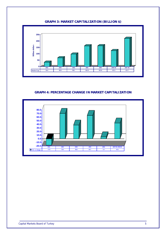## **GRAPH 3: MARKET CAPITALIZATION (BILLION \$)**



#### **GRAPH 4: PERCENTAGE CHANGE IN MARKET CAPITALIZATION**

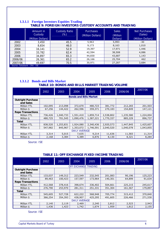# **1.3.1.1 Foreign Investors Equities Trading TABLE 9: FOREIGN INVESTORS CUSTODY ACCOUNTS AND TRADING**

|         | Amount in<br>Custody<br>(Million Dollars) | <b>Custody Ratio</b><br>$(\%)$ | <b>Purchases</b><br>(Million Dollars) | <b>Sales</b><br>(Million<br>Dollars) | Net Purchases<br>(Sales)<br>(Million Dollars) |
|---------|-------------------------------------------|--------------------------------|---------------------------------------|--------------------------------------|-----------------------------------------------|
| 2002    | 3,450                                     | 45.5                           | 5,963                                 | 5,993                                | $-30$                                         |
| 2003    | 8,654                                     | 46.0                           | 9,173                                 | 8,163                                | 1,010                                         |
| 2004    | 16,141                                    | 52.9                           | 19,397                                | 17,971                               | 1,446                                         |
| 2005    | 33,782                                    | 62.4                           | 42,594                                | 38,508                               | 4,086                                         |
| 2006    | 34,897                                    | 65.3                           | 44,830                                | 43,687                               | 1,143                                         |
| 2006/06 | 26,361                                    | 65.2                           | 26,166                                | 25,704                               | 462                                           |
| 2007/06 | 49,697                                    | 70.5                           | 30,971                                | 27,287                               | 3,684                                         |
|         | Source: Takasbank - CRA - ISE             |                                |                                       |                                      |                                               |

#### **1.3.1.2 Bonds and Bills Market TABLE 10: BONDS AND BILLS MARKET TRADING VOLUME**

|                          | 2002                 | 2003      | 2004                          | 2005      | 2006      | 2006/06   | 2007/06   |  |  |
|--------------------------|----------------------|-----------|-------------------------------|-----------|-----------|-----------|-----------|--|--|
|                          |                      |           | <b>Bonds and Bills Market</b> |           |           |           |           |  |  |
| <b>Outright Purchase</b> |                      |           |                               |           |           |           |           |  |  |
| and Sales                |                      |           |                               |           |           |           |           |  |  |
| <b>Million YTL</b>       | 102,095              | 213,098   | 372,670                       | 480,723   | 381,772   | 212,265   | 201,503   |  |  |
| Million \$               | 67,256               | 144,422   | 262,596                       | 359,371   | 270,183   | 154,849   | 147,121   |  |  |
| <b>Repo Transactions</b> |                      |           |                               |           |           |           |           |  |  |
| Million YTL              | 736,426              | 1,040,733 | 1,551,410                     | 1,859,714 | 2,538,802 | 1,235,580 | 1,224,004 |  |  |
| Million \$               | 480,725              | 701,545   | 1,090,476                     | 1,387,221 | 1,770,337 | 885,229   | 896,737   |  |  |
| Total                    |                      |           |                               |           |           |           |           |  |  |
| <b>Million YTL</b>       | 838,520              | 1,253,831 | 1,924,080                     | 2,340,436 | 2,920,573 | 1,447,845 | 1,425,607 |  |  |
| Million \$               | 547,982              | 845,967   | 1,353,072                     | 1,746,591 | 2,040,520 | 1,040,078 | 1,043,855 |  |  |
|                          | <b>DAILY AVERAGE</b> |           |                               |           |           |           |           |  |  |
| <b>Million YTL</b>       | 3,314                | 5,015     | 7,635                         | 9,214     | 11,636    | 11,583    | 11,314    |  |  |
| Million \$               | 2,168                | 3,384     | 5,389                         | 6,876     | 8,130     | 8,321     | 8,284     |  |  |

Source: ISE

#### **TABLE 11: OFF EXCHANGE FIXED INCOME TRADING**

|                                       | 2002    | 2003    | 2004    | 2005    | 2006    | 2006/06 | 2007/06 |  |  |
|---------------------------------------|---------|---------|---------|---------|---------|---------|---------|--|--|
| OFF EXCHANGE TRADING                  |         |         |         |         |         |         |         |  |  |
| <b>Outright Purchase</b><br>and Sales |         |         |         |         |         |         |         |  |  |
| <b>Million YTL</b>                    | 133,037 | 149,312 | 223,549 | 232,545 | 201,083 | 90,196  | 125,223 |  |  |
| Million \$                            | 89,463  | 100,423 | 157,597 | 173,964 | 140,301 | 64,899  | 91,634  |  |  |
| <b>Repo Transactions</b>              |         |         |         |         |         |         |         |  |  |
| <b>Million YTL</b>                    | 412,568 | 378,416 | 398,674 | 336,402 | 504,661 | 225,215 | 245,617 |  |  |
| Million \$                            | 276,790 | 253,970 | 281,311 | 251,331 | 351,304 | 161,567 | 179,897 |  |  |
| <b>Total</b>                          |         |         |         |         |         |         |         |  |  |
| Million YTL                           | 545,605 | 527,728 | 622,222 | 568,948 | 705,774 | 315,412 | 370,840 |  |  |
| Million \$                            | 366,254 | 354,393 | 438,907 | 425,295 | 491,605 | 226,466 | 271,530 |  |  |
| <b>DAILY AVERAGE</b>                  |         |         |         |         |         |         |         |  |  |
| <b>Million YTL</b>                    | 2,140   | 2,119   | 2,469   | 2,240   | 2,812   | 2,523   | 2,943   |  |  |
| Million \$                            | 1,436   | 1,423   | 1,742   | 1,674   | 1,959   | 1,812   | 2,155   |  |  |

Source: ISE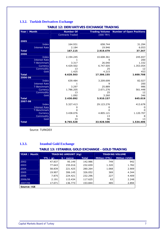# **1.3.2. Turkish Derivatives Exchange**

| Year / Month         | <b>Number Of</b>        | <b>Trading Volume</b> | <b>Number of Open Positions</b> |
|----------------------|-------------------------|-----------------------|---------------------------------|
|                      | <b>Contracts Traded</b> | $(000$ TRY)           |                                 |
|                      |                         |                       |                                 |
| 2005                 |                         |                       |                                 |
| Index                | 164.931                 | 658.744               | 31.294                          |
| <b>Interest Rate</b> | 2.184                   | 19.946                | 6.053                           |
| <b>Total</b>         | 167.115                 | 2.919.479             | 37.347                          |
| 2006                 |                         |                       |                                 |
| Index                | 2.194.245               | 10.608.361            | 245.657                         |
| <b>Interest Rate</b> | 1                       | 9                     | 200                             |
| T-Benchmark          | 3.317                   | 26.040                | 1.332                           |
| Currency             | 4.429.502               | 6.747.505             | 1.353.054                       |
| Commodity            | 13                      | 25                    | 12                              |
| Gold                 | 1.425                   | 4.215                 | 453                             |
| <b>Total</b>         | 6.628.503               | 17.386.155            | 1.600.708                       |
| 2006-06              |                         |                       |                                 |
| Index                | 639.484                 | 3.209.699             | 82.027                          |
| <b>Interest Rate</b> | 1                       | 9                     | 200                             |
| T-Benchmark          | 3.297                   | 25.889                | 986                             |
| Currency             | 1.786.205               | 2.671.276             | 561.448                         |
| Commodity            | 13                      | 25                    | 12                              |
| Gold                 | 1.092                   | 3.260                 | 346                             |
| <b>Total</b>         | 2.430.092               | 5.910.157             | 645.019                         |
| 2007-06              |                         |                       |                                 |
| Index                | 5.327.413               | 29.123.276            | 413.678                         |
| <b>Interest Rate</b> | 0                       | 0                     | 0                               |
| <b>T-Benchmark</b>   | $\Omega$                | $\Omega$              | 0                               |
| Currency             | 3.438.076               | 4.805.121             | 1.120.707                       |
| Commodity            | 6                       | 13                    | 8                               |
| Gold                 | 33                      | 96                    | 13                              |
| <b>Total</b>         | 8.765.528               | 33.928.506            | 1.534.406                       |

**TABLE 12: DERIVATIVES EXCHANGE TRADING** 

Source: TURKDEX

# **1.3.3. Istanbul Gold Exchange**

#### **TABLE 13: ISTANBUL GOLD EXCHANGE - GOLD TRADING**

| YEAR / Month |           | <b>TRADING AMOUNT (Kg)</b> |              | <b>TRADING VOLUME</b> |                      |
|--------------|-----------|----------------------------|--------------|-----------------------|----------------------|
|              | YTL / gr. | \$ / ounce                 | <b>Total</b> | <b>Million (YTL)</b>  | <b>Million (USD)</b> |
| 2002         | 47.837    | 95.149                     | 142.986      | 749                   | 942                  |
| 2003         | 77.643    | 155.016                    | 232.659      | 1.320                 | 1.782                |
| 2004         | 58.839    | 221.425                    | 280.264      | 1.068                 | 2.909                |
| 2005         | 19.907    | 306.145                    | 326.052      | 369                   | 4.344                |
| 2006         | 7.875     | 224.421                    | 232.296      | 227                   | 4.409                |
| 2006/06      | 2.191     | 115.434                    | 117.625      | 63                    | 2.248                |
| 2007/06      | 17.071    | 136.773                    | 153.844      | 485                   | 2.894                |
| Source: IGE  |           |                            |              |                       |                      |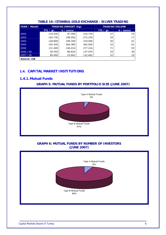| YEAR / Month |           | <b>TRADING AMOUNT (Kg)</b> |         |                  | <b>TRADING VOLUME</b> |
|--------------|-----------|----------------------------|---------|------------------|-----------------------|
|              | YTL / gr. | \$ / ounce                 |         | YTL $\angle$ gr. | $$$ / ounce           |
| 2002         | 119.430   | 97.309                     | 216.739 | 27               | 15                    |
| 2003         | 163.730   | 108.500                    | 272.230 | 39               | 17                    |
| 2004         | 128,800   | 189.200                    | 318,000 | 40               | 41                    |
| 2005         | 102.440   | 260,380                    | 362.820 | 32               | 61                    |
| 2006         | 131.400   | 146.016                    | 277.416 | 71               | 53                    |
| 2006 / 06    | 50.450    | 86.620                     | 137.070 | 25               | 30                    |
| 2007 / 06    | 89.000    | 43.662                     | 132.662 | 52               | 19                    |
| Source: IGE  |           |                            |         |                  |                       |

### **TABLE 14: ISTANBUL GOLD EXCHANGE - SILVER TRADING**

# **1.4. CAPITAL MARKET INSTITUTIONS**

### **1.4.1. Mutual Funds**

### **GRAPH 5: MUTUAL FUNDS BY PORTFOLIO SIZE (JUNE 2007)**



### **GRAPH 6: MUTUAL FUNDS BY NUMBER OF INVESTORS (JUNE 2007)**

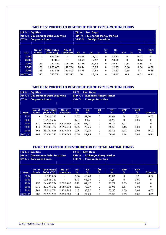|         | HS % : Equities<br>KB % : Government Debt Securities<br><b>ÖT % : Corporate Bonds</b> |                                 |                            | TR % : Rev. Repo<br><b>BPP % : Exchange Money Market</b><br><b>YMK % : Foreign Securities</b> |                                 |                     |                            |                             |                    |                        |
|---------|---------------------------------------------------------------------------------------|---------------------------------|----------------------------|-----------------------------------------------------------------------------------------------|---------------------------------|---------------------|----------------------------|-----------------------------|--------------------|------------------------|
| Year    | No. of<br><b>Funds</b>                                                                | <b>Total value</b><br>(000 YTL) | No. of<br><b>Investors</b> | $\frac{0}{0}$<br>HS.                                                                          | $\frac{0}{0}$<br>K <sub>B</sub> | ÖT<br>$\frac{0}{0}$ | <b>TR</b><br>$\frac{0}{0}$ | $\frac{0}{0}$<br><b>BPP</b> | <b>YMK</b><br>$\%$ | Other<br>$\frac{0}{0}$ |
| 2002    | $\qquad \qquad \blacksquare$                                                          | 434.884                         | $\overline{\phantom{a}}$   | 54,46                                                                                         | 13,11                           | 0                   | 32,37                      | 0                           | 0,07               | 0                      |
| 2003    | -                                                                                     | 743.863                         | $\overline{\phantom{a}}$   | 63,95                                                                                         | 17,57                           | 0                   | 18,36                      | 0                           | 0,12               | 0                      |
| 2004    | 123                                                                                   | 780.370                         | 105.275                    | 67,78                                                                                         | 20,44                           | $\Omega$            | 10,87                      | 0,51                        | 0,39               | 0                      |
| 2005    | 126                                                                                   | 1.033.635                       | 142.794                    | 70,44                                                                                         | 15,83                           | 0                   | 12,29                      | 0,88                        | 0,54               | 0,02                   |
| 2006    | 126                                                                                   | 831.518                         | 133.503                    | 64,76                                                                                         | 17,88                           | 0                   | 15,53                      | 0,85                        | 0,7                | 0,28                   |
| 2007/06 | 125                                                                                   | 742.771                         | 148.395                    | 60                                                                                            | 22,18                           | 0                   | 16,42                      | 0,3                         | 0,64               | 0,46                   |

#### **TABLE 15: PORTFOLIO DISTRIBUTION OF TYPE A MUTUAL FUNDS**

#### **TABLE 16: PORTFOLIO DISTRIBUTION OF TYPE B MUTUAL FUNDS**

| HS % : Equities<br><b>ÖT % : Corporate Bonds</b> |                        | <b>KB % : Government Debt Securities</b> |                            |                | TR % : Rev. Repo<br><b>BPP % : Exchange Money Market</b><br>YMK % : Foreign Securities |          |                |                 |                 |         |
|--------------------------------------------------|------------------------|------------------------------------------|----------------------------|----------------|----------------------------------------------------------------------------------------|----------|----------------|-----------------|-----------------|---------|
| Year                                             | No. of<br><b>Funds</b> | <b>Total value</b><br>(000 YTL)          | No. of<br><b>Investors</b> | <b>HS</b><br>% | <b>KB</b><br>℅                                                                         | ÖT<br>℅  | <b>TR</b><br>℅ | <b>BPP</b><br>℅ | <b>YMK</b><br>% | Other % |
| 2002                                             | -                      | 8.911.788                                | $\overline{\phantom{a}}$   | 0,03           | 51,04                                                                                  | 0        | 48,81          | 0               | 0,1             | 0,02    |
| 2003                                             | ۰.                     | 19.114.297                               | $\overline{\phantom{a}}$   | 0,04           | 68,9                                                                                   | $\Omega$ | 30,97          | 0               | 0,09            | 0       |
| 2004                                             | 130                    | 23.663.404                               | 2.527.187                  | 0,06           | 68,71                                                                                  | 0        | 28,32          | 2,91            | $\Omega$        | 0       |
| 2005                                             | 149                    | 28.340.487                               | 2.816.779                  | 0,05           | 72,26                                                                                  | 0        | 26,53          | 1,15            | 0,01            | 0       |
| 2006                                             | 163                    | 21.180.058                               | 2.337.406                  | 0,26           | 39,07                                                                                  | 0        | 59,18          | 1,41            | 0,06            | 0,01    |
| 2007/06                                          | 162                    | 23.831.797                               | 2.848.585                  | 0.09           | 27,95                                                                                  | 0        | 69,94          | 1,74            | 0,04            | 0,24    |

#### **TABLE 17: PORTFOLIO DISTRIBUTION OF TOTAL MUTUAL FUNDS**

| HS % : Equities               |                          |                                          |                          |           | TR % : Rev. Repo                     |    |           |            |            |         |  |  |
|-------------------------------|--------------------------|------------------------------------------|--------------------------|-----------|--------------------------------------|----|-----------|------------|------------|---------|--|--|
|                               |                          | <b>KB % : Government Debt Securities</b> |                          |           | <b>BPP % : Exchange Money Market</b> |    |           |            |            |         |  |  |
| <b>OT % : Corporate Bonds</b> |                          |                                          |                          |           | YMK % : Foreign Securities           |    |           |            |            |         |  |  |
|                               |                          |                                          |                          |           |                                      |    |           |            |            |         |  |  |
|                               |                          |                                          |                          |           |                                      |    |           |            |            |         |  |  |
|                               | No. of                   | <b>Total value</b>                       | No. of                   | <b>HS</b> | <b>KB</b>                            | ÖT | <b>TR</b> | <b>BPP</b> | <b>YMK</b> |         |  |  |
| Year                          | <b>Funds</b>             | (000 YTL)                                | <b>Investors</b>         | ℅         | ℅                                    | ℅  | ℅         | ℅          | ℅          | Other % |  |  |
| 2002                          | $\overline{\phantom{a}}$ | 9.346.672                                | $\overline{\phantom{a}}$ | 2,56      | 49,28                                | 0  | 48,04     | 0          | 0,1        | 0,02    |  |  |
| 2003                          | $\overline{\phantom{0}}$ | 19.858.160                               | $\overline{\phantom{a}}$ | 2,43      | 66,98                                | 0  | 30,5      | 0          | 0,09       | 0       |  |  |
| 2004                          | 253                      | 24.443.774                               | 2.632.462                | 2,22      | 67,17                                | 0  | 27,77     | 2,83       | 0,02       | 0       |  |  |
| 2005                          | 275                      | 29.374.122                               | 2.959.573                | 2,52      | 70,27                                | 0  | 26,03     | 1,14       | 0,03       | 0       |  |  |
| 2006                          | 289                      | 22.011.576                               | 2.470.909                | 2,7       | 38,27                                | 0  | 57,53     | 1,39       | 0,09       | 0,02    |  |  |
| 2007/06                       | 287                      | 24.574.568                               | 2.996.980                | 1,9       | 27,78                                | 0  | 68,32     | 1,69       | 0,06       | 0,25    |  |  |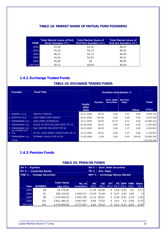# **TABLE 18: MARKET SHARE OF MUTUAL FUND FOUNDERS**

| <b>YEAR</b> | <b>Total Market share of first</b><br>three founders (%) | <b>Total Market share of</b><br>first five founders (%) | <b>Total Market share of</b><br>first ten founders (%) |
|-------------|----------------------------------------------------------|---------------------------------------------------------|--------------------------------------------------------|
| 2002        | 43,28                                                    | 63,22                                                   | 86,41                                                  |
| 2003        | 45,16                                                    | 64,16                                                   | 84,02                                                  |
| 2004        | 46,37                                                    | 64,13                                                   | 84,49                                                  |
| 2005        | 43,29                                                    | 63,63                                                   | 84,31                                                  |
| 2006        | 45,36                                                    | 66                                                      | 85.64                                                  |
| 2007/06     | 50,15                                                    | 69,44                                                   | 85,54                                                  |

# **1.4.2.Exchange Traded Funds**

#### **TABLE 19: EXCHANGE TRADED FUNDS**

| <b>Founder</b>                       | <b>Fund Title</b>                    |                                       | <b>Portfolio Distribution %</b> |                                 |                        |              |                       |
|--------------------------------------|--------------------------------------|---------------------------------------|---------------------------------|---------------------------------|------------------------|--------------|-----------------------|
|                                      |                                      | <b>Public</b><br><b>Offer</b><br>Date | <b>Equities</b>                 | Govt. Debt<br><b>Securities</b> | <b>Reverse</b><br>Repo | <b>Other</b> | <b>Total</b><br>(YTL) |
| 1 AKBANK T.A.S.                      | S&P/IFCI TÜRKİYE                     | 10.11.2006                            | 99.43                           | 0.00                            | 0.57                   | 0.00         | 3,879,724             |
| 2 BIZIM M.D.A.S.                     | DOW JONES DJIM TÜRKİYE               | 24.01.2006                            | 100.00                          | 0.00                            | 0.00                   | 0.00         | 3,352,929             |
| 3 FINANSBANK A.S.                    | <b>DOW JONES ISTANBUL20</b>          | 10.11.2005                            | 68.94                           | 22.74                           | 8.32                   | 0.00         | 61,860,210            |
| 4 FINANSBANK A.S.                    | KÜÇÜK VE ORTA ÖLÇ.ŞRK.SMIST İST.25   | 01.06.2006                            | 99.34                           | 0.00                            | 0.66                   | 0.00         | 2,420,995             |
| 5 FINANSBANK A.S.<br>IS YATIRIM M.D. | MALİ SEKTÖR DIŞI NFIST İST.20        | 26.12.2005                            | 98.63                           | 0.00                            | 1.37                   | 0.00         | 1,363,853             |
| 6 A.S.                               | İŞ YAT.-DOW JONWS TÜRKİYE EŞİT AĞ 15 | 19.12.2005                            | 99.63                           | 0.00                            | 0.37                   | 0.00         | 3,736,407             |
| 7 FINANSBANK A.S.                    | İSTANBUL GOLD B TİPİ ALTIN           | 21.09.2006                            | 0.00                            | 0.00                            | 0.00                   | 100.00       | 35,696,240            |
| <b>TOTAL</b>                         |                                      |                                       |                                 |                                 |                        |              | 112,310,359           |

# **1.4.3.Pension Funds**

#### **TABLE 20: PENSION FUNDS**

| <b>HS % : Equities</b><br>ÖT % : Corporate Bonds | KB % : Govt. Debt Securities<br>TR % : Rev. Repo |                    |                          |        |             |     |        |            |            |             |
|--------------------------------------------------|--------------------------------------------------|--------------------|--------------------------|--------|-------------|-----|--------|------------|------------|-------------|
| <b>YMK % : Foreign Securities</b>                | <b>BPP % : Exchange Money Market</b>             |                    |                          |        |             |     |        |            |            |             |
|                                                  |                                                  |                    |                          |        |             |     |        |            |            |             |
|                                                  |                                                  | <b>Total Value</b> | No. of                   | HS.    | <b>KB</b>   | ÖT  | TR.    | <b>BPP</b> |            | YMK Other   |
| Year                                             | <b>NUMBER</b>                                    | (Bin YTL)          | <b>Investors</b>         | $(\%)$ | $(\%)$      | (%) | $(\%)$ | $(\%)$     | $(\%)$     | (%)         |
| 2003                                             | 68                                               | 42.779,00          | $\overline{\phantom{0}}$ |        | 11.18 69.46 | 0   | 13.8   | 0.82       | 4,2        | 0,57        |
| 2004                                             | 81                                               | 296.124,83         | 1.040.217                |        | 13.32 72.44 | 0   | 9.07   | 3,33       | 1.84       | $\mathbf 0$ |
| 2005                                             | 96                                               | 1.219.049.10       | 2.025.705                |        | 11,12 80,41 | 0   |        | 5,35 0,91  | 0.76       | 1,45        |
| 2006                                             | 102                                              | 2.821.384,52       | 2.807.557                | 8.59   | 73,03       | 0   | 14.4   |            | $2,5$ 0,69 | 0,75        |
| 2007/06                                          | 103                                              | 3.745.940.06       | 3.777.057                |        | 9.02 70.32  | 0   |        | 15.5 0.12  | 0.59       | 4,49        |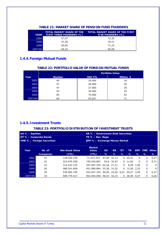| <b>YEAR</b> | <b>TOTAL MARKET SHARE OF THE</b><br><b>FIRST THREE FOUNDERS (%)</b> | <b>TOTAL MARKET SHARE OF THE FIRST</b><br><b>FIVE FOUNDERS (%)</b> |
|-------------|---------------------------------------------------------------------|--------------------------------------------------------------------|
| 2004        | 47.57                                                               | 72,30                                                              |
| 2005        | 47.39                                                               | 70.71                                                              |
| 2006        | 50,06                                                               | 71.10                                                              |
| 2007/06     | 48.34                                                               | 69.58                                                              |

#### **TABLE 21: MARKET SHARE OF PENSION FUND FOUNDERS**

# **1.4.4. Foreign Mutual Funds**

# **TABLE 22: PORTFOLIO VALUE OF FOREIGN MUTUAL FUNDS**  *Portfolio Value*

| Year    | <b>Number</b> | <b>000 YTL</b> | Million <sub>\$</sub> |
|---------|---------------|----------------|-----------------------|
| 2002    | 40            | 29 000         | 18                    |
| 2003    | 47            | 28,000         | 20                    |
| 2004    | 47            | 27,000         | 20                    |
| 2005    | 53            | 34.000         | 25                    |
| 2006    | 60            | 74.000         | 52                    |
| 2007/06 | 60            | 93.027         | 71                    |

## **1.4.5. Investment Trusts**

#### **TABLE 23: PORTFOLIO DISTRIBUTION OF INVESTMENT TRUSTS**

|                                                                           | HS % : Equities<br>KB % : Government Debt Securities |                        |                  |             |                  |    |            |            |            |              |
|---------------------------------------------------------------------------|------------------------------------------------------|------------------------|------------------|-------------|------------------|----|------------|------------|------------|--------------|
| ÖT % : Corporate Bonds                                                    |                                                      |                        | TR % : Rev. Repo |             |                  |    |            |            |            |              |
| <b>YMK % : Foreign Securities</b><br><b>BPP % : Exchange Money Market</b> |                                                      |                        |                  |             |                  |    |            |            |            |              |
|                                                                           |                                                      |                        |                  |             |                  |    |            |            |            |              |
|                                                                           |                                                      | <b>Net Asset Value</b> | <b>Market</b>    |             |                  | ÖT |            |            |            |              |
| Year                                                                      | No.of                                                |                        | Value            | <b>HS</b>   | <b>KB</b>        |    | <b>TR</b>  | <b>BPP</b> | <b>YMK</b> | <b>Other</b> |
|                                                                           | <b>Companies</b>                                     | (YTL)                  | (YTL)            | %           | ℅                | %  | $\%$       | ℅          | %          | %            |
| 2002                                                                      | 22                                                   | 138.926.236            | 71.413.233       | 47.09       | 32,13            | 0  | 20.51      | $\Omega$   | 0          | 0,27         |
| 2003                                                                      | 22                                                   | 223.676.358            | 159.320.867      |             | 54.6 32.87       | 0  | 11,82      | $\Omega$   | 0          | 0,71         |
| 2004                                                                      | 23                                                   | 314.433.125            | 297.587.329      | 62,56 27,21 |                  | 0  | 8.28       | 1.95       | 0          | 0            |
| 2005                                                                      | 26                                                   | 488.241.858            | 451.989.894      |             | 53,36 31,52      | 0  | 12,59      | 2.52       | 0          | $\mathbf{0}$ |
| 2006                                                                      | 30                                                   | 539.905.746            | 424.047.329      |             | 50,85 25,56 0,01 |    | 20,27      | 3,05       | 0          | 0,27         |
| 2007/06                                                                   | 33                                                   | 609.779.417            | 402.493.058      | 40,53 32,15 |                  | 0  | 26,59 0,47 |            | 0          | 0,26         |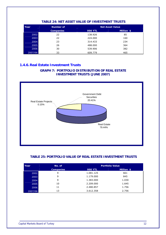| Year    | Number of        | <b>Net Asset Value</b> |            |  |  |  |
|---------|------------------|------------------------|------------|--|--|--|
|         | <b>Companies</b> | <b>000 YTL</b>         | Million \$ |  |  |  |
| 2002    | 22               | 138.926                | 85         |  |  |  |
| 2003    | 22               | 224,000                | 160        |  |  |  |
| 2004    | 23               | 314.433                | 234        |  |  |  |
| 2005    | 26               | 488,000                | 364        |  |  |  |
| 2006    | 30               | 539.906                | 382        |  |  |  |
| 2007/06 | 33               | 609.779                | 465        |  |  |  |

#### **TABLE 24: NET ASSET VALUE OF INVESTMENT TRUSTS**

# **1.4.6. Real Estate Investment Trusts**

#### **GRAPH 7: PORTFOLIO DISTRIBUTION OF REAL ESTATE INVESTMENT TRUSTS (JUNE 2007)**



#### **TABLE 25: PORTFOLIO VALUE OF REAL ESTATE INVESTMENT TRUSTS**

| Year    | No. of           | <b>Portfolio Value</b> |            |  |  |
|---------|------------------|------------------------|------------|--|--|
|         | <b>Companies</b> | <b>000 YTL</b>         | Million \$ |  |  |
| 2002    | 9                | 1.081.125              | 661        |  |  |
| 2003    | 9                | 1.179.000              | 845        |  |  |
| 2004    | 9                | 1.383.000              | 1.030      |  |  |
| 2005    | 10               | 2.209.000              | 1.645      |  |  |
| 2006    | 11               | 2.480.857              | 1.756      |  |  |
| 2007/06 | 13               | 3.612.358              | 2.756      |  |  |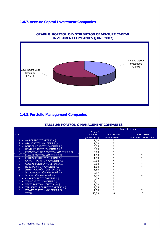# **1.4.7.Venture Capital Investment Companies**



#### **GRAPH 8: PORTFOLIO DISTRIBUTION OF VENTURE CAPITAL INVESTMENT COMPANIES (JUNE 2007)**

# **1.4.8.Portfolio Management Companies**

#### **TABLE 26: PORTFOLIO MANAGEMENT COMPANIES**

|        |                                          |                | Type of License   |                          |  |
|--------|------------------------------------------|----------------|-------------------|--------------------------|--|
|        |                                          | <b>PAID UP</b> |                   |                          |  |
| NO.    |                                          | <b>CAPITAL</b> | <b>PORTFOLIO</b>  | <b>INVESTMENT</b>        |  |
|        |                                          | (Million YTL)  | <b>MANAGEMENT</b> | <b>ADVISORY SERVICES</b> |  |
|        | 1 - AK PORTFÖY YÖNETİMİ A.Ş.             | 1,50           | $\ast$            |                          |  |
|        | 2 - ATA PORTFÖY YÖNETİMİ A.Ş.            | 1,50           | $\ast$            |                          |  |
|        | 3 - BENDER PORTFÖY YÖNETİMİ A.Ş.         | 0,75           | $\ast$            |                          |  |
|        | 4 - DENİZ PORTFÖY YÖNETİMİ A.AŞ.         | 0,75           |                   |                          |  |
|        | 5 - ECZACIBAŞI-UBP PORTFÖY YÖNETİMİ A.Ş. | 3,00           | $\ast$            |                          |  |
| $6 -$  | FİNANS PORTFÖY YÖNETİMİ A.Ş.             | 1,50           | $\ast$            | $\ast$                   |  |
|        | 7 - FORTIS PORTFÖY YÖNETİMİ A.Ş.         | 1,50           | $\ast$            | $\ast$                   |  |
|        | 8 - GARANTİ PORTFÖY YÖNETİMİ A.Ş.        | 10,00          | $\ast$            |                          |  |
| $9 -$  | GLOBAL PORTFÖY YÖNETİMİ A.Ş.             | 2,00           | $\ast$            | $\ast$                   |  |
|        | 10 - HSBC PORTFÖY YÖNETİMİ A.Ş.          | 1,00           | $\ast$            | $\ast$                   |  |
|        | 11 - İNTER PORTFÖY YÖNETİMİ A.Ş.         | 1,50           | $\ast$            |                          |  |
|        | 12 - İSVİÇRE PORTFÖY YÖNETİMİ A.Ş.       | 0,95           | $\ast$            |                          |  |
|        | 13 - İŞ PORTFÖY YÖNETİMİ A.Ş.            | 15,00          | $\ast$            | $\ast$                   |  |
|        | 14 - OYAK PORTFÖY YÖNETİMİ A.Ş.          | 4,58           | $\ast$            |                          |  |
|        | 15 - TEB PORTFÖY YÖNETİMİ A.Ş.           | 2,41           | $\ast$            | $\ast$                   |  |
|        | 16 - VAKIF PORTFÖY YÖNETİMİ A.Ş.         | 1,50           | $\ast$            |                          |  |
|        | 17 - YAPI KREDİ PORTFÖY YÖNETİMİ A.Ş.    | 2,35           | $\ast$            | $\ast$                   |  |
| $18 -$ | ZİRAAT PORTFÖY YÖNETİMİ A.Ş.             | 1,50           | $\ast$            | $\ast$                   |  |
|        | <b>TOTAL</b>                             | 53,29          | 18                | 10                       |  |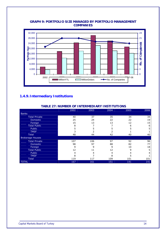

### **GRAPH 9: PORTFOLIO SIZE MANAGED BY PORTFOLIO MANAGEMENT COMPANIES**

# **1.4.9. Intermediary Institutions**

| <b>TABLE 27: NUMBER OF INTERMEDIARY INSTITUTIONS</b> |      |      |      |
|------------------------------------------------------|------|------|------|
| 2002                                                 | 2003 | 2004 | 2005 |

|                         | 2002 | 2003 | 2004 | 2005 | 2006 |
|-------------------------|------|------|------|------|------|
| <b>Banks</b>            |      |      |      |      |      |
| <b>Total Private</b>    | 40   | 37   | 35   | 34   | 34   |
| <b>Domestic</b>         | 25   | 24   | 22   | 22   | 19   |
| Foreign                 | 15   | 13   | 13   | 12   | 15   |
| <b>Total Public</b>     | 8    |      |      | 6    | 6    |
| <b>Public</b>           |      |      |      |      | 5    |
| <b>TMSF</b>             |      |      |      |      |      |
| <b>Total</b>            | 48   | 44   | 42   | 40   | 40   |
| <b>Brokerage Houses</b> |      |      |      |      |      |
| <b>Total Private</b>    | 107  | 106  | 97   | 92   | 96   |
| <b>Domestic</b>         | 98   | 97   | 88   | 82   | 77   |
| Foreign                 | 9    | 9    | 9    | 10   | 18   |
| <b>Total Public</b>     | 12   | 11   | 12   | 9    | 5    |
| <b>Public</b>           |      |      | 4    |      | 4    |
| <b>TMSF</b>             | 8    |      | 8    |      |      |
| <b>Total</b>            | 119  | 117  | 109  | 101  | 101  |
| <b>TOTAL</b>            | 167  | 161  | 151  | 141  | 141  |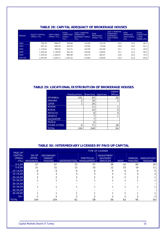| PERIOD  | <b>EQUITY CAPITAL</b><br>(Million YTL) | <b>OWN FUNDS</b><br>(Million YTL) | <b>TOTAL</b><br><b>LIABILITIES</b><br>(Million<br>YTL) | <b>LAST 3 MONTHS</b><br><b>OPERATING</b><br><b>EXPENSES (Million</b><br>YTL) | <b>RİSK</b><br><b>PROVISION</b><br>(Million YTL) | <b>LAST 3 MONTHS</b><br><b>OPERATING</b><br><b>EXPENSES /</b><br><b>OWN FUNDS</b><br>(%) | <b>RİSK</b><br>KARSILIĞI/<br><b>OWN FUNDS</b><br>( %) | <b>TOTAL</b><br><b>LIABILITIES</b><br>/ OWN<br>FUNDS (%) |
|---------|----------------------------------------|-----------------------------------|--------------------------------------------------------|------------------------------------------------------------------------------|--------------------------------------------------|------------------------------------------------------------------------------------------|-------------------------------------------------------|----------------------------------------------------------|
| 2002    | 736,79                                 | 808,47                            | 356,66                                                 | 116,56                                                                       | 115,70                                           | 14,4                                                                                     | 14,3                                                  | 44,1                                                     |
| 2003    | 927,51                                 | 680,45                            | 354,33                                                 | 135,06                                                                       | 97,66                                            | 19,8                                                                                     | 14,4                                                  | 52,1                                                     |
| 2004    | 1.174,61                               | 900,60                            | 312,71                                                 | 135,59                                                                       | 101,60                                           | 15,1                                                                                     | 11,3                                                  | 34,9                                                     |
| 2005    | 1.435,42                               | 1.139,94                          | 561,34                                                 | 149,62                                                                       | 138,55                                           | 13,1                                                                                     | 12,2                                                  | 49,2                                                     |
| 2006    | 1.533,53                               | 1.204,67                          | 895,98                                                 | 163,73                                                                       | 265,47                                           | 13,6                                                                                     | 22,0                                                  | 74,4                                                     |
| 2007/06 | 1.675,44                               | 1.324,71                          | 1.247,23                                               | 179,02                                                                       | 278,05                                           | 13,5                                                                                     | 21,0                                                  | 94,2                                                     |

# **TABLE 28: CAPITAL ADEQUACY OF BROKERAGE HOUSES**

#### **TABLE 29: LOCATIONAL DISTRIBUTION OF BROKERAGE HOUSES**

|                     |                     |                 |          | Liaison        |
|---------------------|---------------------|-----------------|----------|----------------|
|                     | <b>Headquarters</b> | <b>Branches</b> | Agencies | <b>Offices</b> |
| <b>İSTANBUL</b>     | 101                 | 64              |          | 20             |
| <b>ANKARA</b>       | 2                   | 30              |          | 5              |
| <b>İZMİR</b>        |                     | 26              |          |                |
| <b>ADANA</b>        |                     | 11              |          |                |
| <b>BURSA</b>        |                     | 10              |          | 5              |
| <b>ANTALYA</b>      |                     | 8               |          | 4              |
| <b>DENİZLİ</b>      |                     | 7               |          |                |
| <b>GAZİANTEP</b>    |                     | 7               |          |                |
| MUĞLA               |                     | 6               |          |                |
| <b>OTHER CITIES</b> | 0                   | 71              |          | 28             |
| <b>TOTAL</b>        | 104                 | 240             |          | 64             |

#### **TABLE 30: INTERMEDIARY LICENSES BY PAID UP CAPITAL**

|                                                      |                                            |                                                     |              |                                       | <b>TYPE OF LICENSE</b>                                  |             |                                 |                                      |
|------------------------------------------------------|--------------------------------------------|-----------------------------------------------------|--------------|---------------------------------------|---------------------------------------------------------|-------------|---------------------------------|--------------------------------------|
| <b>PAID UP</b><br><b>CAPITAL</b><br>(Million<br>YTL) | <b>NO OF</b><br>INTER-<br><b>MEDIARIES</b> | <b>SECONDARY</b><br><b>MARKET</b><br><b>TRADING</b> | UNDERWRITING | <b>PORTFOLIO</b><br><b>MANAGEMENT</b> | <b>INVESTMENT</b><br><b>ADVISORY</b><br><b>SERVICES</b> | <b>REPO</b> | <b>MARGIN</b><br><b>TRADING</b> | <b>DERIVATIVES</b><br><b>TRADING</b> |
| $0 - 4,99$                                           | 67                                         | 67                                                  | 33           | 27                                    | 28                                                      | 32          | 60                              | 29                                   |
| $5-9,99$                                             | 21                                         | 21                                                  | 13           | 15                                    | 12                                                      | 15          | 19                              |                                      |
| $10-14,99$                                           | 6                                          |                                                     |              |                                       | 6                                                       | 6           |                                 |                                      |
| 15-19,99                                             |                                            |                                                     |              |                                       |                                                         |             |                                 |                                      |
| 20-24,99                                             |                                            |                                                     |              |                                       |                                                         |             |                                 |                                      |
| 25-29,99                                             |                                            |                                                     |              |                                       |                                                         |             |                                 |                                      |
| 30-34,99                                             |                                            |                                                     |              |                                       |                                                         |             |                                 |                                      |
| 35-39,99                                             |                                            |                                                     |              |                                       |                                                         |             |                                 |                                      |
| 40-44,99                                             |                                            |                                                     |              |                                       |                                                         |             |                                 |                                      |
| $45 - 49,99$                                         |                                            |                                                     |              |                                       |                                                         |             |                                 |                                      |
| $50+$                                                |                                            |                                                     |              |                                       |                                                         |             |                                 |                                      |
| <b>TOTAL</b>                                         | 104                                        | 104                                                 | 62           | 58                                    | 56                                                      | 63          | 95                              | 54                                   |